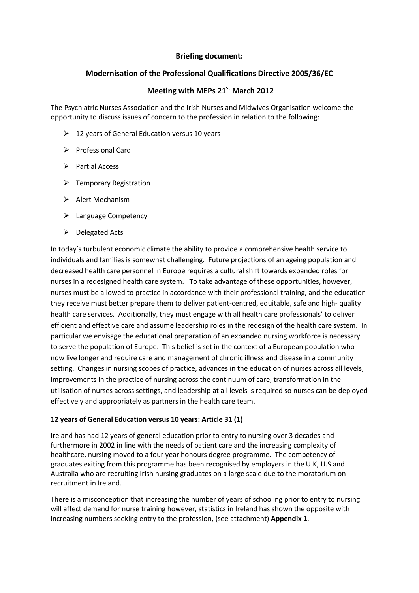## **Briefing document:**

## **Modernisation of the Professional Qualifications Directive 2005/36/EC**

## **Meeting with MEPs 21st March 2012**

The Psychiatric Nurses Association and the Irish Nurses and Midwives Organisation welcome the opportunity to discuss issues of concern to the profession in relation to the following:

- $\geq$  12 years of General Education versus 10 years
- $\triangleright$  Professional Card
- $\triangleright$  Partial Access
- $\triangleright$  Temporary Registration
- $\triangleright$  Alert Mechanism
- > Language Competency
- $\triangleright$  Delegated Acts

In today's turbulent economic climate the ability to provide a comprehensive health service to individuals and families is somewhat challenging. Future projections of an ageing population and decreased health care personnel in Europe requires a cultural shift towards expanded roles for nurses in a redesigned health care system. To take advantage of these opportunities, however, nurses must be allowed to practice in accordance with their professional training, and the education they receive must better prepare them to deliver patient-centred, equitable, safe and high- quality health care services. Additionally, they must engage with all health care professionals' to deliver efficient and effective care and assume leadership roles in the redesign of the health care system. In particular we envisage the educational preparation of an expanded nursing workforce is necessary to serve the population of Europe. This belief is set in the context of a European population who now live longer and require care and management of chronic illness and disease in a community setting. Changes in nursing scopes of practice, advances in the education of nurses across all levels, improvements in the practice of nursing across the continuum of care, transformation in the utilisation of nurses across settings, and leadership at all levels is required so nurses can be deployed effectively and appropriately as partners in the health care team.

## **12 years of General Education versus 10 years: Article 31 (1)**

Ireland has had 12 years of general education prior to entry to nursing over 3 decades and furthermore in 2002 in line with the needs of patient care and the increasing complexity of healthcare, nursing moved to a four year honours degree programme. The competency of graduates exiting from this programme has been recognised by employers in the U.K, U.S and Australia who are recruiting Irish nursing graduates on a large scale due to the moratorium on recruitment in Ireland.

There is a misconception that increasing the number of years of schooling prior to entry to nursing will affect demand for nurse training however, statistics in Ireland has shown the opposite with increasing numbers seeking entry to the profession, (see attachment) **Appendix 1**.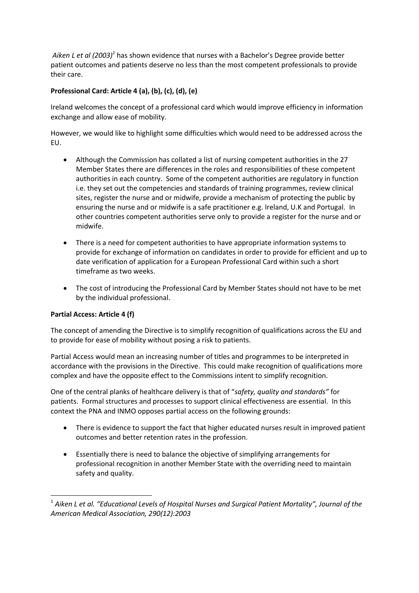*Aiken L et al (2003)<sup>1</sup>* has shown evidence that nurses with a Bachelor's Degree provide better patient outcomes and patients deserve no less than the most competent professionals to provide their care.

# **Professional Card: Article 4 (a), (b), (c), (d), (e)**

Ireland welcomes the concept of a professional card which would improve efficiency in information exchange and allow ease of mobility.

However, we would like to highlight some difficulties which would need to be addressed across the EU.

- Although the Commission has collated a list of nursing competent authorities in the 27 Member States there are differences in the roles and responsibilities of these competent authorities in each country. Some of the competent authorities are regulatory in function i.e. they set out the competencies and standards of training programmes, review clinical sites, register the nurse and or midwife, provide a mechanism of protecting the public by ensuring the nurse and or midwife is a safe practitioner e.g. Ireland, U.K and Portugal. In other countries competent authorities serve only to provide a register for the nurse and or midwife.
- There is a need for competent authorities to have appropriate information systems to provide for exchange of information on candidates in order to provide for efficient and up to date verification of application for a European Professional Card within such a short timeframe as two weeks.
- The cost of introducing the Professional Card by Member States should not have to be met by the individual professional.

# **Partial Access: Article 4 (f)**

**.** 

The concept of amending the Directive is to simplify recognition of qualifications across the EU and to provide for ease of mobility without posing a risk to patients.

Partial Access would mean an increasing number of titles and programmes to be interpreted in accordance with the provisions in the Directive. This could make recognition of qualifications more complex and have the opposite effect to the Commissions intent to simplify recognition.

One of the central planks of healthcare delivery is that of "*safety, quality and standards"* for patients. Formal structures and processes to support clinical effectiveness are essential. In this context the PNA and INMO opposes partial access on the following grounds:

- There is evidence to support the fact that higher educated nurses result in improved patient outcomes and better retention rates in the profession.
- Essentially there is need to balance the objective of simplifying arrangements for professional recognition in another Member State with the overriding need to maintain safety and quality.

<sup>1</sup> *Aiken L et al. "Educational Levels of Hospital Nurses and Surgical Patient Mortality", Journal of the American Medical Association, 290(12):2003*